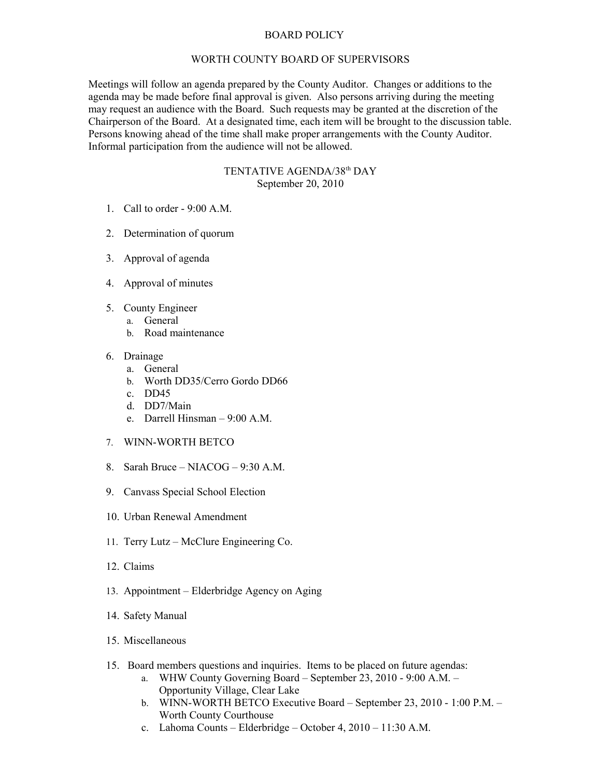## BOARD POLICY

## WORTH COUNTY BOARD OF SUPERVISORS

Meetings will follow an agenda prepared by the County Auditor. Changes or additions to the agenda may be made before final approval is given. Also persons arriving during the meeting may request an audience with the Board. Such requests may be granted at the discretion of the Chairperson of the Board. At a designated time, each item will be brought to the discussion table. Persons knowing ahead of the time shall make proper arrangements with the County Auditor. Informal participation from the audience will not be allowed.

## TENTATIVE AGENDA/38<sup>th</sup> DAY September 20, 2010

- 1. Call to order 9:00 A.M.
- 2. Determination of quorum
- 3. Approval of agenda
- 4. Approval of minutes
- 5. County Engineer
	- a. General
		- b. Road maintenance
- 6. Drainage
	- a. General
	- b. Worth DD35/Cerro Gordo DD66
	- c. DD45
	- d. DD7/Main
	- e. Darrell Hinsman 9:00 A.M.
- 7. WINN-WORTH BETCO
- 8. Sarah Bruce NIACOG 9:30 A.M.
- 9. Canvass Special School Election
- 10. Urban Renewal Amendment
- 11. Terry Lutz McClure Engineering Co.
- 12. Claims
- 13. Appointment Elderbridge Agency on Aging
- 14. Safety Manual
- 15. Miscellaneous
- 15. Board members questions and inquiries. Items to be placed on future agendas:
	- a. WHW County Governing Board September 23, 2010 9:00 A.M. Opportunity Village, Clear Lake
	- b. WINN-WORTH BETCO Executive Board September 23, 2010 1:00 P.M. Worth County Courthouse
	- c. Lahoma Counts Elderbridge October 4, 2010 11:30 A.M.